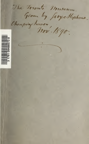The Townto Museum. Given by Jeogettephones. Chensinghower, 1890.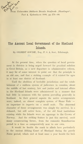

 $R$ <sup>o</sup> From *Universitets Jubilwets Danske Samfunds* "Blandinger",<br>Part 4, Kjøbenhavn 1886, pp. 274––80.

## The Ancient Local Government of the Shetland Islands,

By GILBERT GOUDIE, Esq., F. S. A. Scot., Edinburgh.

 $\mathbb{R}$ 

At the present time, when the question of local govern ment in districts is being urged forward for practical solution in Great Britain, as a new departure in administrative reform, it may be of some interest to point out that the principle is an old one, and that a striking example of it existed for ages in at least one district of Scotland.

Until the abolition of heritable jurisdiction and the estab lishment of a uniform system of judicature in counties, about the middle of last century, law and justice and internal affairs in the Shetland Islands were administered in a manner that had little in common with the system prevailing generally in Scotland. In their general aspects the native arrangements were, indeed, an almost complete system of Home Rule an *imperium in imperio* on a small scale. The abnormal character of these arrangements was simply the survival, in a debased, but still active form, of the old local institutions existing while the Islands were an appanage to the Crown of Norway. And the striking feature is just this survival, amid many counteracting forces, from the romantic Scandinavian period to a time so comparatively near to our own.

It would be beside the mark to allude here particularly .to the ancient Althing Court of Shetland during the purely Norse period, which met at least once a year beside the loch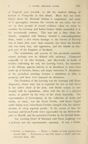of Tiny wall near Lerwick, as did the kindred Althing of Iceland at Thingvalla in that island. Much that has been hinted about the Shetland Althing is conjectural, and some of it apocryphal, because the records do not exist; but we are on firm ground of record evidence when we come to consider the Lawting and Justice Courts which succeeded it in the • seventeenth century. This was . not a time when the islands, conjoined with Orkney, formed a semi-independent State, under a Jarl whose homage to the Grown of Norway was at times little more than nominal; but when the Scottish rule was hard, fast, and oppressive, and the islands an inte gral part of the kingdom of Scotland.

The constitution and powers of this provincial assembly cannot perhaps now be defined with accuracy. Composed originally of all udal freemen, and afterwards of heads of families cultivating the soil, the Lawting Court, the successor to the Althing, appears latterly in its decadence to have been made up of heritors, feuars, and larger tacksmen.\*) Attendance at the periodical meetings became a stipulation in titles to property, and fines were imposed on absentees.

The President of the Lawting was the Lawman (old Norse  $L\ddot{o}$ qmadr), whose duty was to expound the law as laid down in the native Book of the Law, and decide causes in con formity with its regulations, either with the aid of a selected Assize, or guided by the votes of the whole Assembly. The representative of Government, in the collection of skatts and maills, or rents, was the Great Fowde, (old Norse Fogeti) under whom were subordinate Fowdes charged with the administration of every separate parish. In the course of time the Lawman and- Great Fowde were superseded by the Stewart-Depute or Sheriff, and the parochial Fowdes by the Scottish Bailie.

The Lawting Court of Shetland (old Norse  $L\ddot{o}q\dot{p}ing$ ) was a primary and not representative assembly. It was a Parlia-

<sup>\*)</sup> Heritor  $=$  landowner.  $-$  Feuar  $=$  holder of land paying fixed annual duty.  $-$  Tacksman  $=$  one who farms a whole and considerable farm. Ed.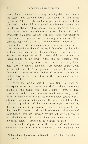ment of one chamber, exercising both legislative and judicial functions. The criminal jurisdiction extended to punishment by death. The records, so far as preserved, begin with the year 1602, and exhibit a very curious collection of enactments for the regulation of local affairs, and of judgments in crimi nal causes, from petty offences to graver charges of assault, witchcraft, slaughter. As has been said, there was usually in later times a regular assize, numbering a dozen or fifteen persons, appointed to aid in criminal trials. There are fre quent instances of the compurgatorial system; persons charged with offences being doomed to acquit themselves by the oaths, in their vindication, of <sup>a</sup> sufficient number — six or twelve, as the case might be — of honest neighbours (termed the saxter and the twelter aith), or that of some official of reputation, e. g., the laryt aith, the oath of the lawrightman. The laws, or police regulations, were enacted usually "with advice and consent of the gentlemen, suitors of Court, and Commons;<sup>"</sup> otherwise the "Bailies of parishes," the old parochial Fowdes, take the place of the "Commons" as consenting parties.

While the lawting was the head Court of Shetland, corresponding to the more ancient Althing, the extraordinary feature of the system was, that a complete form of local government and judicature was also established in every parish. Here the supreme official was the Under Fowde (latterly Bailie) administering justice and collecting the rents and duties. The rights and privileges of the people were again protected by the Lawrightmen  $(L\ddot{o}grettamen)$ , chosen and appointed on their behalf in every parish; while subordinate officials termed Ranselmen\*), who have searcely yet died out, were empowered to make inquisition in case of theft, and generally to aid in the maintenance of order and good neighbourhood.

The modes of procedure in the conduct of Court business appear to have been orderly and formal, with sufficient, but

<sup>.</sup> \*) Ranselnian, Rancelman or Ransellor = <sup>a</sup> kind of Constable or Searcher. E d.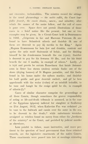not excessive, technicalities. The minutes record the sittings in the usual phraseology  $-$  the suitis callit, the Court lawfullie fenceit, the esseis chosin, sworn, and admittet; after which the names of the assize follow, and the roll of cases is gone over. Space does not permit illustrations of those cases in a brief notice like the present, but one or two examples may be given. In a Circuit Court held in Dunrossness in 1002, "Grigerous in Lie and Mareonn Paterson ilk ane found to have Sclanderit utheris and thairfoir ilk ane of them are decernit to pay iiij merkis to the King." Again "Magnus Erasmusson for bein fow and drunkin, contrair and agains the actis maid thairanent of befoir, and for bleiding himself be his drunkenness beneath the ene (eyes); thairfoir is decernit to pay for his fowness 10 libs, and for his bluid beneth the ene  $4$  markis, in exampil of uthers." Lastly,  $\overline{\phantom{a}}$ , it is tryit and provin be certain Ranselmen that Intale Antonni soun in Seter has stown (stolen) certain fische out of the skoes (drying houses) of St Magnus parochin, and thir fische found in his house under the nybors markis; and thairfoir his haill guidis and gear decernit escheit, and gif he beis apprehendit with the walor (value) of an uristhift heiraftir, to be tane and hangit be the craige quhil he die, in exampill of utheris  $(!)$ .

Cases of similar character comprise the proceedings at all these Courts, though sometimes the graver responsibility of acting as life-and-death tribunals is assumed, as in the case of the Egyptians (gipsies) indicted for slaughter at Scalloway on 21st August, 1612, when Katherine Faa was ordained "to be tane to the bulwark and cassin over the same in the sea, to be drownit to the death;" while unfortunate wretches arraigned as witches found no mercy from either the "brethren of the ministry" or the Court, and perished by judicial murder as elsewhere.

Less painful to follow, more instructive, and more per tinent to the question of local government than these criminal records, are the legislative enactments of the native Courts. These enactments were passed into law at meetings extending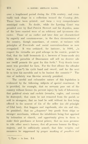over a lengthened period during the 17th century, and eventually took shape in a collection termed the Country Acts. These have been printed, and form a very comprehensive municipal code. No doubt, while the Lawting Court was presided over by Earl Patrick Stewart and his deputies, some of the laws enacted were of an arbitrary and tyrannous character. Those of an earlier and later date are characterised by sagacity and common-sense, in the then circumstances of the country, though sometimes, of course, at variance with principles of Free-trade and social conventionalisms as now recognised. It was ordained, for instance, in 1604, "in respect the victuallis are guid scheape in the contrie, praisit be God, that the haill brousteris (i. e. brewers of home-made ale) within the parochin of Dunrossnes sall sell na dearrer aile nor twelff penneis the pynt fra this furth." Very drastic treat ment was provided for liars. For the first offence the offender was to  $\mu$ tyne\*) his rycht hand and sword, and for the next lie to tyne his movablis and to be baniest the countrie!" The vice of inebriety was likewise severely punished.

The careful and exhaustive nature of this legislation is evidenced by the following subjects of special enactment. It is provided, for example, that no servants pass out of the country without licence (to prevent injury by lack of labourers) that *quhitred eirnis* and *corbeis* (weasles, eagles, and ravens) be destroyed; that oxen be not removed from the parish or sold to strangers; that no land be sold without its first being offered to the nearest of kin of the seller (an old principle of Udal law); that beggars and vagabonds, also sin and vice, be punished; that no "chapmen" buy goods from ships or stranger merchants, without the inhabitants being first apprised by intimation at church, and opportunity given to them to make their purchases at lowest prices; that no man presume to ride other men's horses; that all persons honour the King's majesty, and be sufficiently armed; that false weights and measures be suppressed by proper marking of pundlers and

<sup>\*)</sup> Tyne  $=$  to lose. Ed.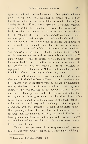bysmers; that wild horses be secured; that grinds and yetts (gates) be kepi shut; that no sheep be rowed (that is, have the fleece pulled off, as is still the custom in Shetland) on Sunday &c. &c. Finally these sagacious law-makers regarded il as also within their function to invade the domain of the family relations, of course in the public interest, as witness the following act of  $1612: -$  "Forsameikle as thair is monie seryiable persons that mareyis and takis up housis nocht having wherupone to live, wberby the inhabitantis and indwelleris in the cuntrey ar damnefeit and hurt for lack of servantis; thairfor it is statut and ordaint with consent of the gentilmen and comowins of the cuntrey That it sall not be lesum\*) to servile persones not worth three skoir gulzeonis quhilk is 72 punds Scottis' to tak up houssis nor no man to set to them housis or land." Severe as this seems, and at variance with the principle of personal freedom, it is an ordinance not repugnant to the theories of Maltus, and something akin to it might perhaps be salutary at almost any time.

It is not claimed for these enactments, the general character of which has been indicated above, that they exhibit the highest type of legislative wisdom, judged by nineteenth century standards. But it may be affirmed that they were suited to the requirements of the country and of the time, and served their purpose well. It is also undeniable that this system of local government, coming down from early  $\cdot$ Norse times, tended in a high degree to the maintenance of order and to the liberty and well-being of the people, in accordance with the instincts of freedom of the northern race. But by-and-bye these cherished local institutions were over thrown: The Lawman and Fowdes, the parish Fowdes, the Lawrightmen, and Ranselmen all disappeared. Scarcely a shred of local independence was left, and the people were reduced to the verge of ruin.

Shetland now possesses all the paraphernalia of a Scottish Sherif Court with right of appeal to a learned Sheriff-Principal

<sup>\*)</sup> Lesum  $=$  allowable, lawful. Ed.